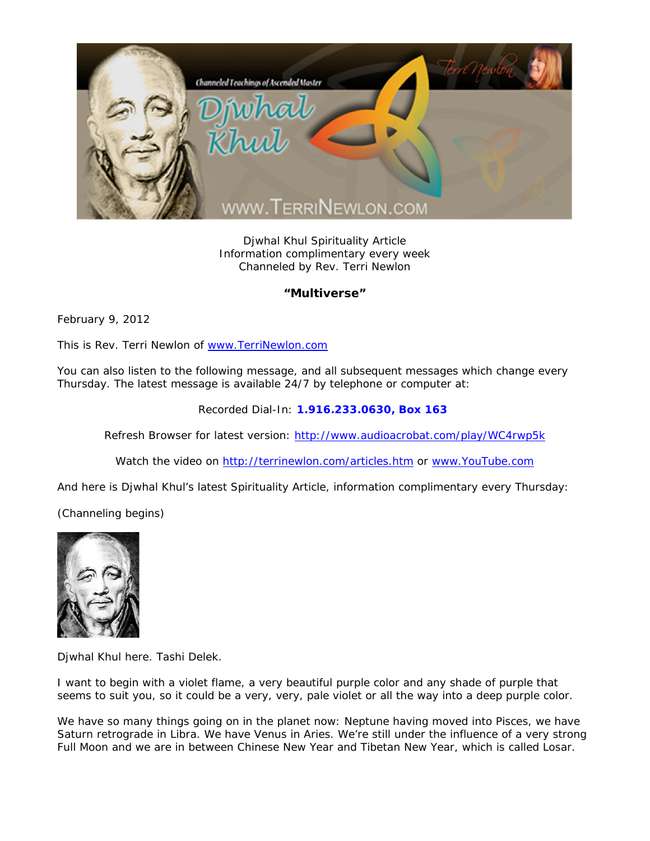

Djwhal Khul Spirituality Article Information complimentary every week Channeled by Rev. Terri Newlon

## **"Multiverse"**

February 9, 2012

This is Rev. Terri Newlon of www.TerriNewlon.com

You can also listen to the following message, and all subsequent messages which change every Thursday. The latest message is available 24/7 by telephone or computer at:

Recorded Dial-In: **1.916.233.0630, Box 163** 

Refresh Browser for latest version: http://www.audioacrobat.com/play/WC4rwp5k

Watch the video on http://terrinewlon.com/articles.htm or www.YouTube.com

And here is Djwhal Khul's latest Spirituality Article, information complimentary every Thursday:

(Channeling begins)



Djwhal Khul here. Tashi Delek.

I want to begin with a violet flame, a very beautiful purple color and any shade of purple that seems to suit you, so it could be a very, very, pale violet or all the way into a deep purple color.

We have so many things going on in the planet now: Neptune having moved into Pisces, we have Saturn retrograde in Libra. We have Venus in Aries. We're still under the influence of a very strong Full Moon and we are in between Chinese New Year and Tibetan New Year, which is called Losar.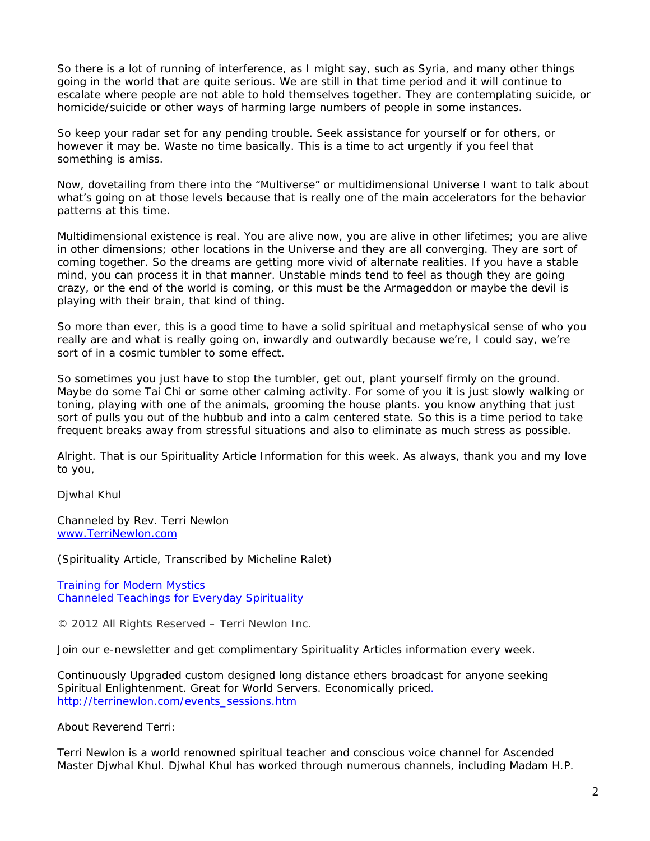So there is a lot of running of interference, as I might say, such as Syria, and many other things going in the world that are quite serious. We are still in that time period and it will continue to escalate where people are not able to hold themselves together. They are contemplating suicide, or homicide/suicide or other ways of harming large numbers of people in some instances.

So keep your radar set for any pending trouble. Seek assistance for yourself or for others, or however it may be. Waste no time basically. This is a time to act urgently if you feel that something is amiss.

Now, dovetailing from there into the "Multiverse" or multidimensional Universe I want to talk about what's going on at those levels because that is really one of the main accelerators for the behavior patterns at this time.

Multidimensional existence is real. You are alive now, you are alive in other lifetimes; you are alive in other dimensions; other locations in the Universe and they are all converging. They are sort of coming together. So the dreams are getting more vivid of alternate realities. If you have a stable mind, you can process it in that manner. Unstable minds tend to feel as though they are going crazy, or the end of the world is coming, or this must be the Armageddon or maybe the devil is playing with their brain, that kind of thing.

So more than ever, this is a good time to have a solid spiritual and metaphysical sense of who you really are and what is really going on, inwardly and outwardly because we're, I could say, we're sort of in a cosmic tumbler to some effect.

So sometimes you just have to stop the tumbler, get out, plant yourself firmly on the ground. Maybe do some Tai Chi or some other calming activity. For some of you it is just slowly walking or toning, playing with one of the animals, grooming the house plants. you know anything that just sort of pulls you out of the hubbub and into a calm centered state. So this is a time period to take frequent breaks away from stressful situations and also to eliminate as much stress as possible.

Alright. That is our Spirituality Article Information for this week. As always, thank you and my love to you,

Djwhal Khul

Channeled by Rev. Terri Newlon www.TerriNewlon.com

(Spirituality Article, Transcribed by Micheline Ralet)

Training for Modern Mystics Channeled Teachings for Everyday Spirituality

© 2012 All Rights Reserved – Terri Newlon Inc.

Join our e-newsletter and get complimentary Spirituality Articles information every week.

Continuously Upgraded custom designed long distance ethers broadcast for anyone seeking Spiritual Enlightenment. Great for World Servers. Economically priced. http://terrinewlon.com/events\_sessions.htm

About Reverend Terri:

Terri Newlon is a world renowned spiritual teacher and conscious voice channel for Ascended Master Djwhal Khul. Djwhal Khul has worked through numerous channels, including Madam H.P.